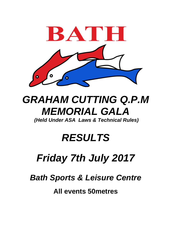

# *GRAHAM CUTTING Q.P.M MEMORIAL GALA*

*(Held Under ASA Laws & Technical Rules)*

### *RESULTS*

## *Friday 7th July 2017*

*Bath Sports & Leisure Centre*

**All events 50metres**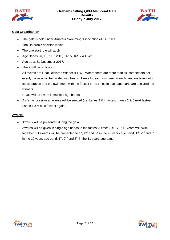



### **Gala Organisation**

- The gala is held under Amateur Swimming Association (ASA) rules.
- The Referee's decision is final.
- The one start rule will apply.
- Age Bands 9u, 10, 11, 12/13, 14/15, 16/17 & Over.
- Age as at 31 December 2017.
- There will be no finals.
- All events are Heat Declared Winner (HDW). Where there are more than six competitors per event, the race will be divided into heats. Times for each swimmer in each heat are taken into consideration and the swimmers with the fastest three times in each age band are declared the winners.
- Heats will be swum in multiple age bands.
- As far as possible all events will be seeded (i.e. Lanes 3 & 4 fastest, Lanes 2 & 5 next fastest, Lanes 1 & 6 next fastest again).

#### **Awards**

- Awards will be presented during the gala.
- Awards will be given in single age bands to the fastest 3 times (i.e. 9/10/11 years will swim together but awards will be presented to 1<sup>st</sup>, 2<sup>nd</sup> and 3<sup>rd</sup> in the 9u years age band, 1<sup>st</sup>, 2<sup>nd</sup> and 3<sup>rd</sup> in the 10 years age band,  $1^{st}$ ,  $2^{nd}$  and  $3^{rd}$  in the 11 years age band).



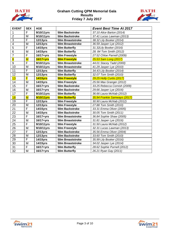



| <b>EVENT</b>            | <b>SEX</b>              | <b>AGE</b>      |                      | <b>Event Best Time At 2017</b>   |
|-------------------------|-------------------------|-----------------|----------------------|----------------------------------|
| 1                       | F                       | 9/10/11yrs      | 50m Backstroke       | 37.10 Alice Barton (2014)        |
| $\overline{2}$          | M                       | 9/10/11yrs      | 50m Backstroke       | 37.41 Lucas Lawman (2013)        |
| $\overline{3}$          | F                       | 12/13yrs        | 50m Breaststroke     | 38.32 Lily Booker (2014)         |
| 4                       | M                       | <b>12/13yrs</b> | 50m Breaststroke     | 36.59 Jasper Lye (2012)          |
| 5                       | F                       | 14/15yrs        | 50m Butterfly        | 31.32Lily Booker (2016)          |
| 6                       | M                       | 14/15yrs        | 50m Butterfly        | 28. 84 Tom Smith (2012)          |
| $\overline{7}$          | F                       | $16/17 + yrs$   | 50m Freestyle        | 27.52 Chloe Parnell (2009)       |
| $\overline{\mathbf{8}}$ | $\overline{\mathsf{M}}$ | 16/17+yrs       | <b>50m Freestyle</b> | 25.53 Sam Long (2017)            |
| 9                       | F                       | 9/10/11yrs      | 50m Breaststroke     | 44.01 Stacey Tadd (2000)         |
| 10                      | M                       | 9/10/11yrs      | 50m Breaststroke     | 41.29 Jasper Lye (2010)          |
| 11                      | F                       | <b>12/13yrs</b> | 50m Butterfly        | 34.43 Lily Booker (2014)         |
| 12                      | M                       | <b>12/13yrs</b> | 50m Butterfly        | 32.07 Tom Smith (2010)           |
| 13                      | F                       | <b>14/15yrs</b> | <b>50m Freestyle</b> | <b>29.25 Holly Curtis (2017)</b> |
| 14                      | M                       | 14/15yrs        | 50m Freestyle        | 25.56 Max Granger (2012)         |
| 15                      | F                       | $16/17 + yrs$   | 50m Backstroke       | 33.25 Rebecca Cornish (2009)     |
| 16                      | M                       | $16/17 + yrs$   | 50m Backstroke       | 29.66 Jasper Lye (2016)          |
| 17                      | F                       | 9/10/11yrs      | 50m Butterfly        | 36.66 Laura McNab (2012)         |
| 18                      | $\overline{\mathsf{M}}$ | 9/10/11yrs      | <b>50m Butterfly</b> | 35.94 Frankie Samways (2017)     |
| 19                      | F                       | 12/13yrs        | 50m Freestyle        | 30.90 Laura McNab (2012)         |
| 20                      | M                       | 12/13yrs        | 50m Freestyle        | 27.88 Tom Smith (2010)           |
| 21                      | F                       | 14/15yrs        | 50m Backstroke       | 33.31 Emma Oliver (2005)         |
| 22                      | M                       | 14/15yrs        | 50m Backstroke       | 30.05 Tom Smith (2011)           |
| 23                      | F                       | $16/17 + yrs$   | 50m Breaststroke     | 36.84 Sophie Shaw (2005)         |
| 24                      | M                       | $16/17 + yrs$   | 50m Breaststroke     | 31.81 Jasper Lye (2016)          |
| 25                      | F                       | 9/10/11yrs      | 50m Freestyle        | 31.50 Laura McNab (2012)         |
| 26                      | M                       | 9/10/11yrs      | 50m Freestyle        | 32.31 Lucas Lawman (2013)        |
| 27                      | F                       | 12/13yrs        | 50m Backstroke       | 35.56 Emma Oliver (2004)         |
| 28                      | M                       | 12/13yrs        | 50m Backstroke       | 33.60 Tom Smith (2010)           |
| 29                      | F                       | 14/15yrs        | 50m Breaststroke     | 35.99 Lily Booker (2016)         |
| 30                      | M                       | 14/15yrs        | 50m Breaststroke     | 34.02 Jasper Lye (2014)          |
| 31                      | F                       | $16/17 + yrs$   | 50m Butterfly        | 28.62 Sophie Purnell (2012)      |
| 32                      | M                       | $16/17 + yrs$   | 50m Butterfly        | 26.21 Ryan Gay (2011)            |

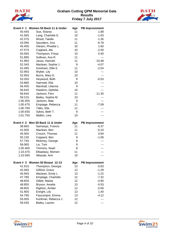



|                  | Event # 1 Women 50 Back 11 & Under    | Age      | <b>PB Improvement</b> |
|------------------|---------------------------------------|----------|-----------------------|
| 40.44S           | Sue, Shania                           | 11       | 1.88                  |
| 41.56S           | Lang, Charlotte E.                    | 10       | $-1.63$               |
| 42.37S           | Wood, Talulla                         | 11       | $-1.35$               |
| 43.09S           | Saunders, Ava                         | 11       | $-6.78$               |
| 45.40S           | Olesen, Phoebe L.                     | 10       | 1.60                  |
| 47.57S           | Coppard, Abi                          | 10       | $-2.50$               |
| 50.56S           | Thompson, Freya                       | 10       | 0.40                  |
| 51.88S           | Sullivan, Ava R.                      | 11       | ---                   |
| 51.96S           | Jauss, Hannah                         | 11       | $-10.48$              |
| 52.34S           | Maclean, Sophie J.                    | 9        | $-4.07$               |
| 52.49S           | Gresham, Ellie E.                     | 11       | $-2.54$               |
| 52.95S           | Wyber, Lily                           | 10       |                       |
| 52.95S           | Burns, Mary E.                        | 10       | ---                   |
| 53.35S           | Heywood, Beth                         | 9        | $-0.53$               |
| 53.88S           | Hamnett, Ella                         | 10       |                       |
| 56.40S           | Marshall, Lilianna                    | 9        |                       |
| 56.64S           | Hawkins, Ophelia                      | 10       | ---                   |
| 56.64S           | Jackson, Fern                         | 11       | $-11.35$              |
| 59.21S           | Bailey, Sophia M.                     | 10       |                       |
| 1:00.30S         | Jackson, Mae                          | 9        |                       |
| 1:00.47S         | Emptage, Rebecca                      | 11       | $-7.09$               |
| 1:00.79S         | Talks, Ella                           | 11       |                       |
| 1:00.93S         | Sykes, Beth T.                        | 9        |                       |
| 1:01.75S         | Malkin, Leia                          | 10       |                       |
|                  |                                       |          |                       |
|                  | Event # 2 Men 50 Back 11 & Under      | Age      | <b>PB Improvement</b> |
| 38.66S           | Samways, Francis                      | 11       | $-6.37$               |
| 41.00S           | Maclean, Ben                          | 11       | $-0.10$               |
| 45.56S           | Crouch, Thomas                        | 11       | 0.84                  |
| 55.13S           | Coppard, Ben                          | 9        | $-1.06$               |
| 57.74S           | Moloney, George                       | 8        |                       |
| 58.06S           | Liu, Tom                              | 9        |                       |
| 1:00.46S         | Timmins, Noah                         | 8        |                       |
| 1:23.47S         | Elbadawy, Momen                       | 11       |                       |
| 1:23.59S         | Alkasab, Amr                          | 10       |                       |
|                  | Event # 3 Women 50 Breast 12-13       | Age      | <b>PB Improvement</b> |
| 41.91S           | Thompson, Georgia                     | 13       | $-0.83$               |
| 42.06S           | Gifford, Grace                        | 12       | $-1.29$               |
| 45.94S           | Maclean, Emily L.                     | 13       | $-1.22$               |
| 47.78S           | Emptage, Charlotte                    | 12       | $-7.32$               |
| 48.60S           | Gillett, Maisie                       | 12       | $-4.90$               |
| 48.85S           | Bryson, Amelia                        | 13       | $-0.53$               |
| 48.85S           | Righton, Amber                        | 12       | $-5.56$               |
| 51.90S           | Enright, Lily                         | 13       | 1.40                  |
| 54.79S           | Faucompre, Emma                       | 13       | $-4.12$               |
| 55.00S<br>59.43S | Kuhlman, Rebecca J.<br>Bailey, Lauren | 12<br>12 |                       |



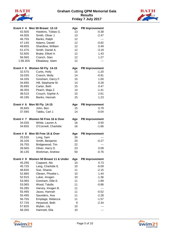



|          | Event # 4 Men 50 Breast 12-13        | Age | <b>PB Improvement</b> |
|----------|--------------------------------------|-----|-----------------------|
| 42.50S   | Hawkins, Tobias G.                   | 13  | $-0.38$               |
| 44.50S   | Smith, Oliver J.                     | 13  | $-2.47$               |
| 46.75S   | Banks, Ralph                         | 12  |                       |
| 47.14S   | Adams, Daniel                        | 12  | $-0.82$               |
| 49.65S   | Shardlow, William                    | 12  | 0.49                  |
| 51.47S   | Smith, Daniel A.                     | 12  | $-3.19$               |
| 52.60S   | Brake, Elliott H.                    | 12  | 1.43                  |
| 56.56S   | Cranch, Stan                         | 12  | 1.27                  |
| 1:58.35S | Elbadawy, Islam                      | 12  | ---                   |
|          | Event # 5 Women 50 Fly 14-15         | Age | <b>PB Improvement</b> |
| 32.57S   | Curtis, Holly                        | 15  | $-1.20$               |
| 33.03S   | Cranch, Molly                        | 14  | $-0.91$               |
| 34.33S   | Gresham, Darcy F.                    | 15  | 1.00                  |
| 34.69S   | Hill, Stephanie M.                   | 14  | 0.28                  |
| 35.69S   | Carter, Beth                         | 15  | 0.47                  |
| 38.35S   | Peach, Maja Z.                       | 14  | $-1.41$               |
| 38.51S   | Crouch, Sophie A.                    | 15  | 2.61                  |
| 40.19S   | Banks, Hannah                        | 15  | 1.23                  |
|          | Event # 6 Men 50 Fly 14-15           | Age | <b>PB Improvement</b> |
| 35.84S   | John, Ben                            | 15  | 0.79                  |
| 37.59S   | Tabbu, Carl J.                       | 14  | $-0.04$               |
|          | Event # 7 Women 50 Free 16 & Over    | Age | <b>PB Improvement</b> |
| 34.03S   | White, Lauren A.                     | 16  | 0.50                  |
| 34.65S   | O'Connell, Charlotte                 | 16  | $-1.66$               |
|          | Event # 8 Men 50 Free 16 & Over      | Age | <b>PB Improvement</b> |
| 25.53S   | Long, Sam                            | 26  |                       |
| 26.10S   | Smith, Benjamin                      | 20  | $-0.27$               |
| 26.75S   | Bridgewood, Tim                      | 22  | ---                   |
| 28.56S   | Oliver, Harry D.                     | 23  | 0.09                  |
| 30.13S   | Workman, Andrew                      | 50  | $-0.76$               |
|          | Event # 9 Women 50 Breast 11 & Under | Age | <b>PB Improvement</b> |
| 45.29S   | Coppard, Abi                         | 10  | 0.73                  |
| 45.72S   | Lang, Charlotte E.                   | 10  | $-6.09$               |
| 48.83S   | Sue, Shania                          | 11  | $-2.15$               |
| 52.88S   | Olesen, Phoebe L.                    | 10  | 1.44                  |
| 52.91S   | Luker, Imogen                        | 10  | $-1.36$               |
| 53.06S   | Gresham, Ellie E.                    | 11  | 1.89                  |
| 53.06S   | Wood, Talulla                        | 11  | $-0.86$               |
| 55.28S   | Harvey, Imogen B.                    | 11  |                       |
| 55.49S   | Jauss, Hannah                        | 11  | $-0.52$               |
| 55.49S   | Saunders, Ava                        | 11  | $-2.28$               |
| 56.75S   | Emptage, Rebecca                     | 11  | $-1.57$               |
| 57.72S   | Heywood, Beth                        | 9   | $-2.34$               |
| 57.82S   | Wyber, Lily                          | 10  |                       |
| 58.26S   | Hamnett, Ella                        | 10  | ---                   |



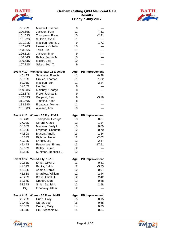



| 58.78S                     | Marshall, Lilianna                    | 9        | ---                   |
|----------------------------|---------------------------------------|----------|-----------------------|
| 1:00.65S                   | Jackson, Fern                         | 11       | $-7.51$               |
| 1:01.09S                   | Thompson, Freya                       | 10       | $-2.91$               |
| 1:01.22S                   | Sullivan, Ava R.                      | 11       | ---                   |
| 1:01.91S                   | Maclean, Sophie J.                    | 9        | 1.72                  |
| 1:02.96S                   | Hawkins, Ophelia                      | 10       |                       |
| 1:03.06S                   | Talks, Ella                           | 11       |                       |
| 1:06.11S                   | Jackson, Mae                          | 9        |                       |
| 1:06.44S                   | Bailey, Sophia M.                     | 10       |                       |
| 1:06.53S                   | Malkin, Leia                          | 10       |                       |
| 1:07.72S                   | Sykes, Beth T.                        | 9        |                       |
|                            | Event #10 Men 50 Breast 11 & Under    | Age      | <b>PB Improvement</b> |
| 46.44S                     | Samways, Francis                      | 11       | $-0.38$               |
| 52.16S                     |                                       | 11       | $-1.82$               |
|                            | Crouch, Thomas                        |          |                       |
| 52.91S                     | Maclean, Ben                          | 11       | $-2.24$               |
| 59.10S                     | Liu, Tom                              | 9        |                       |
| 1:00.28S                   | Moloney, George                       | 8        |                       |
| 1:02.87S                   | Frere, Joshua B.                      | 9        |                       |
| 1:07.59S                   | Coppard, Ben                          | 9        | $-3.18$               |
| 1:11.46S                   | Timmins, Noah                         | 8        |                       |
| 1:33.88S                   | Elbadawy, Momen                       | 11       |                       |
| 2:01.60S                   | Alkasab, Amr                          | 10       |                       |
|                            | Event #11 Women 50 Fly 12-13          | Age      | <b>PB Improvement</b> |
| 36.44S                     | Thompson, Georgia                     | 13       | $-0.87$               |
|                            |                                       |          |                       |
| 37.02S                     | Gifford, Grace                        | 12       | $-1.14$               |
| 38.63S                     | Maclean, Emily L.                     | 13       | 0.09                  |
| 43.00S                     | Emptage, Charlotte                    | 12       | $-0.70$               |
| 44.50S                     |                                       | 13       | 1.34                  |
|                            | Bryson, Amelia                        |          |                       |
| 45.32S                     | Righton, Amber                        | 12       | $-2.02$               |
| 49.12S                     | Enright, Lily                         | 13       | $-2.47$               |
| 49.44S                     | Faucompre, Emma                       | 13       | $-17.51$              |
| 52.53S<br>52.53S           | Bailey, Lauren<br>Kuhlman, Rebecca J. | 12<br>12 |                       |
|                            |                                       |          |                       |
| Event #12 Men 50 Fly 12-13 |                                       | Age      | <b>PB Improvement</b> |
| 39.81S                     | Smith, Oliver J.                      | 13       | 0.51                  |
| 42.31S                     | Banks, Ralph                          | 12       | $-3.23$               |
| 42.39S                     | Adams, Daniel                         | 12       | $-0.97$               |
| 45.63S                     | Shardlow, William                     | 12       | 2.44                  |
| 46.22S                     | Brake, Elliott H.                     | 12       | 2.42                  |
| 50.65S                     | Cranch, Stan                          | 12       | 0.68                  |
| 52.34S                     | Smith, Daniel A.                      | 12       | 2.58                  |
| <b>DQ</b>                  | Elbadawy, Islam                       | 12       | ---                   |
|                            | Event #13 Women 50 Free 14-15         | Age      | <b>PB Improvement</b> |
| 29.25S                     | Curtis, Holly                         | 15       | $-0.15$               |
| 30.44S                     | Carter, Beth                          | 15       | 0.68                  |
| 30.50S<br>31.34S           | Cranch, Molly<br>Hill, Stephanie M.   | 14       | 0.23                  |



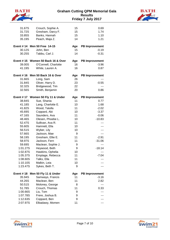



| 31.67S           | Crouch, Sophie A.                 | 15  | 0.69                  |
|------------------|-----------------------------------|-----|-----------------------|
| 31.72S           | Gresham, Darcy F.                 | 15  | 1.74                  |
| 33.85S           | Banks, Hannah                     | 15  | 1.10                  |
| 35.19S           | Peach, Maja Z.                    | 14  | 1.21                  |
|                  | Event #14 Men 50 Free 14-15       | Age | <b>PB Improvement</b> |
| 30.12S           | John, Ben                         | 15  | $-0.19$               |
| 30.25S           | Tabbu, Carl J.                    | 14  | $-0.31$               |
|                  | Event #15 Women 50 Back 16 & Over | Age | <b>PB Improvement</b> |
| 39.00S           | O'Connell, Charlotte              | 16  | $-3.96$               |
| 41.19S           | White, Lauren A.                  | 16  | 0.87                  |
|                  | Event #16 Men 50 Back 16 & Over   | Age | <b>PB Improvement</b> |
| 31.66S           | Long, Sam                         | 26  |                       |
| 31.84S           | Oliver, Harry D.                  | 23  | $-0.55$               |
| 32.32S           | Bridgewood, Tim                   | 22  | ---                   |
| 32.56S           | Smith, Benjamin                   | 20  | 0.86                  |
|                  | Event #17 Women 50 Fly 11 & Under | Age | <b>PB Improvement</b> |
| 38.84S           | Sue, Shania                       | 11  | 0.77                  |
| 41.18S           | Lang, Charlotte E.                | 10  | 1.68                  |
| 41.82S           | Wood, Talulla                     | 11  | $-2.02$               |
| 45.69S           | Coppard, Abi                      | 10  | $-3.37$               |
| 47.16S           | Saunders, Ava                     | 11  | $-0.06$               |
| 48.46S           | Olesen, Phoebe L.                 | 10  | $-10.83$              |
| 52.47S           | Sullivan, Ava R.                  | 11  |                       |
| 55.60S           | Hamnett, Ella                     | 10  |                       |
| 56.51S           | Wyber, Lily                       | 10  |                       |
| 57.66S           | Jackson, Mae                      | 9   | ---                   |
| 58.19S           | Gresham, Ellie E.                 | 11  | $-2.91$               |
| 58.97S           | Jackson, Fern                     | 11  | $-31.06$              |
| 59.69S           | Maclean, Sophie J.                | 9   | ---                   |
| 1:01.27S         | Heywood, Beth                     | 9   | $-18.14$              |
| 1:02.87S         | Hawkins, Ophelia                  | 10  | $---$                 |
| 1:05.37S         | Emptage, Rebecca                  | 11  | $-7.04$               |
| 1:08.60S         | Talks, Ella                       | 11  |                       |
| 1:10.10S         | Malkin, Leia                      | 10  |                       |
| 1:23.47S         | Sykes, Beth T.                    | 9   |                       |
| <b>Event #18</b> | Men 50 Fly 11 & Under             | Age | <b>PB Improvement</b> |
| 35.94S           | Samways, Francis                  | 11  | $-3.16$               |
| 44.26S           | Maclean, Ben                      | 11  | 2.82                  |
| 50.51S           | Moloney, George                   | 8   | ---                   |
| 51.78S           | Crouch, Thomas                    | 11  | 0.33                  |
| 1:00.66S         | Liu, Tom                          | 9   |                       |
| 1:07.78S         | Frere, Joshua B.                  | 9   |                       |
| 1:12.63S         | Coppard, Ben                      | 9   |                       |
| 2:07.97S         | Elbadawy, Momen                   | 11  |                       |



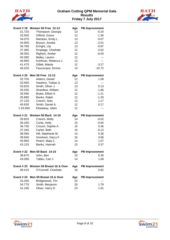



|                  | Event #19 Women 50 Free 12-13       | Age      | <b>PB Improvement</b> |
|------------------|-------------------------------------|----------|-----------------------|
| 31.72S           | Thompson, Georgia                   | 13       | $-0.24$               |
| 32.50S           | Gifford, Grace                      | 12       | $-1.36$               |
| 34.07S           | Maclean, Emily L.                   | 13       | $-0.07$               |
| 34.90S           | Bryson, Amelia                      | 13       | $-2.01$               |
| 36.78S           | Enright, Lily                       | 13       | $-0.87$               |
| 37.38S           | Emptage, Charlotte                  | 12       | 0.02                  |
| 39.35S           | Righton, Amber                      | 12       | $-6.03$               |
| 40.38S           | Bailey, Lauren                      | 12       | ---                   |
| 40.69S           | Kuhlman, Rebecca J.                 | 12       | ---                   |
| 41.47S           | Gillett, Maisie                     | 12       | $-3.27$               |
| 45.02S           | Faucompre, Emma                     | 13       | $-10.72$              |
|                  | Event # 20 Men 50 Free 12-13        | Age      | <b>PB Improvement</b> |
| 32.70S           | Adams, Daniel                       | 12       | 1.08                  |
| 33.56S           | Hawkins, Tobias G.                  | 13       | ---                   |
| 33.62S           | Smith, Oliver J.                    | 13       | 0.13                  |
| 35.03S           | Shardlow, William                   | 12       | 1.86                  |
| 35.59S           | Brake, Elliott H.                   | 12       | $-1.21$               |
| 35.88S           | Banks, Ralph                        | 12       | $-1.20$               |
| 37.12S           | Cranch, Stan                        | 12       | 1.17                  |
| 40.63S           | Smith, Daniel A.                    | 12       | 0.17                  |
| 1:19.06S         | Elbadawy, Islam                     | 12       |                       |
|                  |                                     |          |                       |
|                  | Event # 21 Women 50 Back 14-15      | Age      | <b>PB Improvement</b> |
| 35.82S           | Cranch, Molly                       | 14       | $-0.02$               |
| 36.16S           | Curtis, Holly                       | 15       | $-0.65$               |
| 36.73S           | Crouch, Sophie A.                   | 15       | 0.36                  |
| 37.34S           | Carter, Beth                        | 15       | $-0.13$               |
| 38.59S           | Hill, Stephanie M.                  | 14       | 0.36                  |
| 39.94S           | Gresham, Darcy F.                   | 15       | 3.66                  |
| 40.96S           | Peach, Maja Z.                      | 14       | 1.07                  |
| 43.12S           | Banks, Hannah                       | 15       | 0.37                  |
|                  | Event # 22 Men 50 Back 14-15        | Age      | <b>PB Improvement</b> |
|                  | 38.87S John, Ben                    | 15       | 0.30                  |
| 43.09S           | Tabbu, Carl J.                      | 14       | 1.69                  |
|                  | Event #23 Women 50 Breast 16 & Over | Age      | <b>PB Improvement</b> |
| 48.41S           | O'Connell, Charlotte                | 16       | 0.82                  |
|                  | Event #24 Men 50 Breast 16 & Over   | Age      | <b>PB Improvement</b> |
| 33.16S           | Bridgewood, Tim                     | 22       |                       |
| 34.77S<br>41.19S | Smith, Benjamin<br>Oliver, Harry D. | 20<br>23 | 1.79<br>1.91          |

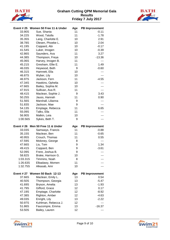



|                  | Event #25 Women 50 Free 11 & Under | Age      | <b>PB Improvement</b> |
|------------------|------------------------------------|----------|-----------------------|
| 33.90S           | Sue, Shania                        | 11       | $-0.11$               |
| 34.22S           | Wood, Talulla                      | 11       | $-1.78$               |
| 35.35S           | Lang, Charlotte E.                 | 10       | 2.91                  |
| 38.78S           | Olesen, Phoebe L.                  | 10       | 2.04                  |
| 41.19S           | Coppard, Abi                       | 10       | $-0.17$               |
| 41.54S           | Luker, Imogen                      | 10       | $-0.39$               |
| 42.86S           | Saunders, Ava                      | 11       | 3.27                  |
| 44.38S           | Thompson, Freya                    | 10       | $-13.36$              |
| 45.06S           | Harvey, Imogen B.                  | 11       |                       |
| 45.21S           | Gresham, Ellie E.                  | 11       | 1.49                  |
| 46.03S           | Heywood, Beth                      | 9        | $-0.60$               |
| 46.31S           | Hamnett, Ella                      | 10       |                       |
| 46.87S           | Wyber, Lily                        | 10       | ---                   |
| 46.97S           | Jackson, Fern                      | 11       | $-4.55$               |
| 47.34S           | Hawkins, Ophelia                   | 10       |                       |
| 47.66S           | Bailey, Sophia M.                  | 10       |                       |
| 47.91S           | Sullivan, Ava R.                   | 11       |                       |
| 48.41S           | Maclean, Sophie J.                 | 9        | 3.43                  |
| 50.25S           | Jauss, Hannah                      | 11       | 0.90                  |
| 51.56S           | Marshall, Lilianna                 | 9        | ---                   |
| 51.83S           | Jackson, Mae                       | 9        |                       |
| 54.13S           | Emptage, Rebecca                   | 11       | 6.65                  |
| 55.09S           | Talks, Ella                        | 11       |                       |
| 56.90S           | Malkin, Leia                       | 10       |                       |
|                  |                                    |          |                       |
|                  |                                    |          |                       |
| 1:00.56S         | Sykes, Beth T.                     | 9        |                       |
|                  |                                    |          |                       |
|                  | Event #26 Men 50 Free 11 & Under   | Age      | <b>PB Improvement</b> |
| 33.03S           | Samways, Francis                   | 11       | $-0.88$               |
| 35.15S           | Maclean, Ben                       | 11       | $-0.65$               |
| 40.95S           | Crouch, Thomas                     | 11       | 0.55                  |
| 47.59S           | Moloney, George                    | 8        |                       |
| 47.66S           | Liu, Tom                           | 9        | 1.34                  |
| 49.41S           | Coppard, Ben                       | 9        | $-3.61$               |
| 52.09S           | Frere, Joshua B.                   | 9        | ---                   |
| 58.82S           | Brake, Harrison G.                 | 10       |                       |
| 1:03.31S         | Timmins, Noah                      | 8        |                       |
| 1:26.63S         | Elbadawy, Momen                    | 11       |                       |
| 1:32.75S         | Alkasab, Amr                       | 10       |                       |
|                  |                                    |          |                       |
|                  | Event # 27 Women 50 Back 12-13     | Age      | <b>PB Improvement</b> |
| 37.66S           | Maclean, Emily L.                  | 13       | 0.54                  |
| 40.50S           | Thompson, Georgia                  | 13       | $-5.47$               |
| 41.69S           | Bryson, Amelia                     | 13       | $-1.93$               |
| 41.79S           | Gifford, Grace                     | 12       | 0.17                  |
| 47.19S           | Emptage, Charlotte                 | 12       | $-8.92$               |
| 47.38S           | Righton, Amber                     | 12       | $-4.63$               |
| 49.03S           | Enright, Lily                      | 13       | $-2.22$               |
| 50.97S           | Kuhlman, Rebecca J.                | 12       |                       |
| 51.86S<br>53.50S | Faucompre, Emma<br>Bailey, Lauren  | 13<br>12 | $-16.37$              |